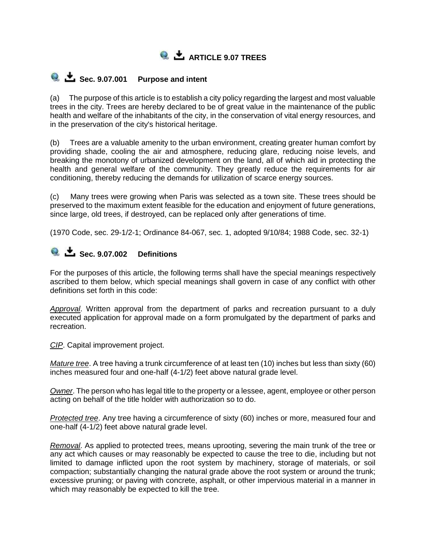

## **Q**  $\stackrel{\bullet}{\bullet}$  Sec. 9.07.001 Purpose and intent

(a) The purpose of this article is to establish a city policy regarding the largest and most valuable trees in the city. Trees are hereby declared to be of great value in the maintenance of the public health and welfare of the inhabitants of the city, in the conservation of vital energy resources, and in the preservation of the city's historical heritage.

(b) Trees are a valuable amenity to the urban environment, creating greater human comfort by providing shade, cooling the air and atmosphere, reducing glare, reducing noise levels, and breaking the monotony of urbanized development on the land, all of which aid in protecting the health and general welfare of the community. They greatly reduce the requirements for air conditioning, thereby reducing the demands for utilization of scarce energy sources.

(c) Many trees were growing when Paris was selected as a town site. These trees should be preserved to the maximum extent feasible for the education and enjoyment of future generations, since large, old trees, if destroyed, can be replaced only after generations of time.

(1970 Code, sec. 29-1/2-1; Ordinance 84-067, sec. 1, adopted 9/10/84; 1988 Code, sec. 32-1)

## **Sec. 9.07.002 Definitions**

For the purposes of this article, the following terms shall have the special meanings respectively ascribed to them below, which special meanings shall govern in case of any conflict with other definitions set forth in this code:

*Approval*. Written approval from the department of parks and recreation pursuant to a duly executed application for approval made on a form promulgated by the department of parks and recreation.

*CIP*. Capital improvement project.

*Mature tree*. A tree having a trunk circumference of at least ten (10) inches but less than sixty (60) inches measured four and one-half (4-1/2) feet above natural grade level.

*Owner*. The person who has legal title to the property or a lessee, agent, employee or other person acting on behalf of the title holder with authorization so to do.

*Protected tree*. Any tree having a circumference of sixty (60) inches or more, measured four and one-half (4-1/2) feet above natural grade level.

*Removal*. As applied to protected trees, means uprooting, severing the main trunk of the tree or any act which causes or may reasonably be expected to cause the tree to die, including but not limited to damage inflicted upon the root system by machinery, storage of materials, or soil compaction; substantially changing the natural grade above the root system or around the trunk; excessive pruning; or paving with concrete, asphalt, or other impervious material in a manner in which may reasonably be expected to kill the tree.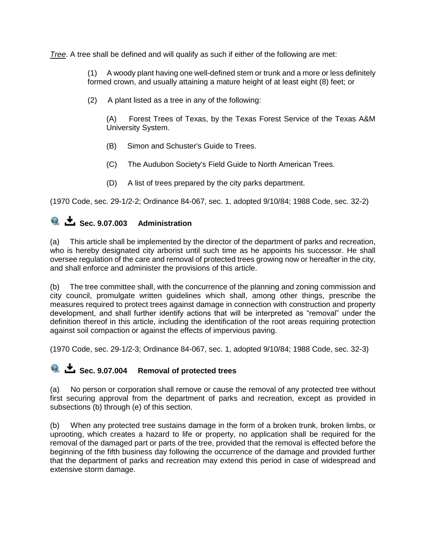*Tree*. A tree shall be defined and will qualify as such if either of the following are met:

(1) A woody plant having one well-defined stem or trunk and a more or less definitely formed crown, and usually attaining a mature height of at least eight (8) feet; or

(2) A plant listed as a tree in any of the following:

(A) Forest Trees of Texas, by the Texas Forest Service of the Texas A&M University System.

- (B) Simon and Schuster's Guide to Trees.
- (C) The Audubon Society's Field Guide to North American Trees.
- (D) A list of trees prepared by the city parks department.

(1970 Code, sec. 29-1/2-2; Ordinance 84-067, sec. 1, adopted 9/10/84; 1988 Code, sec. 32-2)

# **8**  $\bullet$  Sec. 9.07.003 Administration

(a) This article shall be implemented by the director of the department of parks and recreation, who is hereby designated city arborist until such time as he appoints his successor. He shall oversee regulation of the care and removal of protected trees growing now or hereafter in the city, and shall enforce and administer the provisions of this article.

(b) The tree committee shall, with the concurrence of the planning and zoning commission and city council, promulgate written guidelines which shall, among other things, prescribe the measures required to protect trees against damage in connection with construction and property development, and shall further identify actions that will be interpreted as "removal" under the definition thereof in this article, including the identification of the root areas requiring protection against soil compaction or against the effects of impervious paving.

(1970 Code, sec. 29-1/2-3; Ordinance 84-067, sec. 1, adopted 9/10/84; 1988 Code, sec. 32-3)

#### **e**  $\bullet$  **Sec. 9.07.004** Removal of protected trees

(a) No person or corporation shall remove or cause the removal of any protected tree without first securing approval from the department of parks and recreation, except as provided in subsections (b) through (e) of this section.

(b) When any protected tree sustains damage in the form of a broken trunk, broken limbs, or uprooting, which creates a hazard to life or property, no application shall be required for the removal of the damaged part or parts of the tree, provided that the removal is effected before the beginning of the fifth business day following the occurrence of the damage and provided further that the department of parks and recreation may extend this period in case of widespread and extensive storm damage.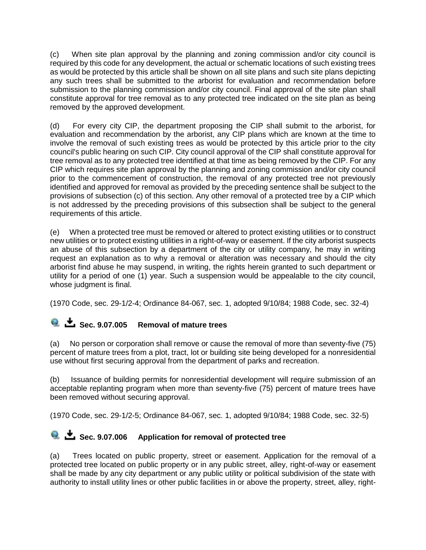(c) When site plan approval by the planning and zoning commission and/or city council is required by this code for any development, the actual or schematic locations of such existing trees as would be protected by this article shall be shown on all site plans and such site plans depicting any such trees shall be submitted to the arborist for evaluation and recommendation before submission to the planning commission and/or city council. Final approval of the site plan shall constitute approval for tree removal as to any protected tree indicated on the site plan as being removed by the approved development.

(d) For every city CIP, the department proposing the CIP shall submit to the arborist, for evaluation and recommendation by the arborist, any CIP plans which are known at the time to involve the removal of such existing trees as would be protected by this article prior to the city council's public hearing on such CIP. City council approval of the CIP shall constitute approval for tree removal as to any protected tree identified at that time as being removed by the CIP. For any CIP which requires site plan approval by the planning and zoning commission and/or city council prior to the commencement of construction, the removal of any protected tree not previously identified and approved for removal as provided by the preceding sentence shall be subject to the provisions of subsection (c) of this section. Any other removal of a protected tree by a CIP which is not addressed by the preceding provisions of this subsection shall be subject to the general requirements of this article.

(e) When a protected tree must be removed or altered to protect existing utilities or to construct new utilities or to protect existing utilities in a right-of-way or easement. If the city arborist suspects an abuse of this subsection by a department of the city or utility company, he may in writing request an explanation as to why a removal or alteration was necessary and should the city arborist find abuse he may suspend, in writing, the rights herein granted to such department or utility for a period of one (1) year. Such a suspension would be appealable to the city council, whose judgment is final.

(1970 Code, sec. 29-1/2-4; Ordinance 84-067, sec. 1, adopted 9/10/84; 1988 Code, sec. 32-4)

## **8**  $\bullet$  Sec. 9.07.005 Removal of mature trees

(a) No person or corporation shall remove or cause the removal of more than seventy-five (75) percent of mature trees from a plot, tract, lot or building site being developed for a nonresidential use without first securing approval from the department of parks and recreation.

(b) Issuance of building permits for nonresidential development will require submission of an acceptable replanting program when more than seventy-five (75) percent of mature trees have been removed without securing approval.

(1970 Code, sec. 29-1/2-5; Ordinance 84-067, sec. 1, adopted 9/10/84; 1988 Code, sec. 32-5)

# **E** Sec. 9.07.006 Application for removal of protected tree

(a) Trees located on public property, street or easement. Application for the removal of a protected tree located on public property or in any public street, alley, right-of-way or easement shall be made by any city department or any public utility or political subdivision of the state with authority to install utility lines or other public facilities in or above the property, street, alley, right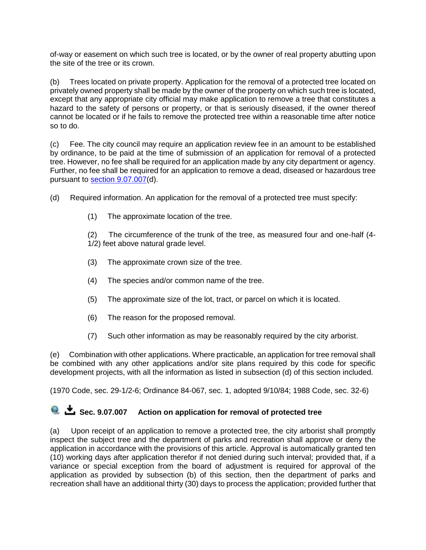of-way or easement on which such tree is located, or by the owner of real property abutting upon the site of the tree or its crown.

(b) Trees located on private property. Application for the removal of a protected tree located on privately owned property shall be made by the owner of the property on which such tree is located, except that any appropriate city official may make application to remove a tree that constitutes a hazard to the safety of persons or property, or that is seriously diseased, if the owner thereof cannot be located or if he fails to remove the protected tree within a reasonable time after notice so to do.

(c) Fee. The city council may require an application review fee in an amount to be established by ordinance, to be paid at the time of submission of an application for removal of a protected tree. However, no fee shall be required for an application made by any city department or agency. Further, no fee shall be required for an application to remove a dead, diseased or hazardous tree pursuant to [section 9.07.007\(](https://z2.franklinlegal.net/franklin/DocViewer.jsp?doccode=z20000076&z2collection=paris#JD_9.07.007)d).

(d) Required information. An application for the removal of a protected tree must specify:

(1) The approximate location of the tree.

(2) The circumference of the trunk of the tree, as measured four and one-half (4- 1/2) feet above natural grade level.

- (3) The approximate crown size of the tree.
- (4) The species and/or common name of the tree.
- (5) The approximate size of the lot, tract, or parcel on which it is located.
- (6) The reason for the proposed removal.
- (7) Such other information as may be reasonably required by the city arborist.

(e) Combination with other applications. Where practicable, an application for tree removal shall be combined with any other applications and/or site plans required by this code for specific development projects, with all the information as listed in subsection (d) of this section included.

(1970 Code, sec. 29-1/2-6; Ordinance 84-067, sec. 1, adopted 9/10/84; 1988 Code, sec. 32-6)

### **8**  $\bullet$  **Sec. 9.07.007** Action on application for removal of protected tree

(a) Upon receipt of an application to remove a protected tree, the city arborist shall promptly inspect the subject tree and the department of parks and recreation shall approve or deny the application in accordance with the provisions of this article. Approval is automatically granted ten (10) working days after application therefor if not denied during such interval; provided that, if a variance or special exception from the board of adjustment is required for approval of the application as provided by subsection (b) of this section, then the department of parks and recreation shall have an additional thirty (30) days to process the application; provided further that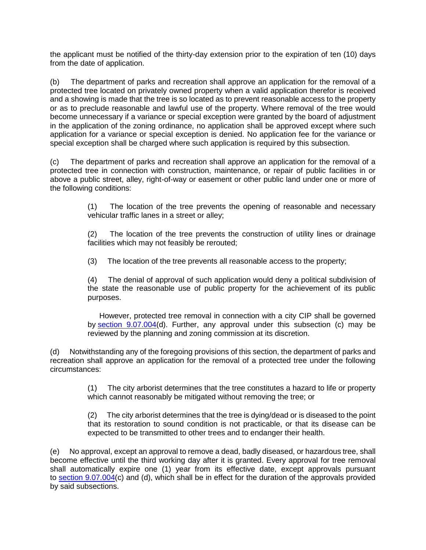the applicant must be notified of the thirty-day extension prior to the expiration of ten (10) days from the date of application.

(b) The department of parks and recreation shall approve an application for the removal of a protected tree located on privately owned property when a valid application therefor is received and a showing is made that the tree is so located as to prevent reasonable access to the property or as to preclude reasonable and lawful use of the property. Where removal of the tree would become unnecessary if a variance or special exception were granted by the board of adjustment in the application of the zoning ordinance, no application shall be approved except where such application for a variance or special exception is denied. No application fee for the variance or special exception shall be charged where such application is required by this subsection.

(c) The department of parks and recreation shall approve an application for the removal of a protected tree in connection with construction, maintenance, or repair of public facilities in or above a public street, alley, right-of-way or easement or other public land under one or more of the following conditions:

> (1) The location of the tree prevents the opening of reasonable and necessary vehicular traffic lanes in a street or alley;

> (2) The location of the tree prevents the construction of utility lines or drainage facilities which may not feasibly be rerouted;

(3) The location of the tree prevents all reasonable access to the property;

(4) The denial of approval of such application would deny a political subdivision of the state the reasonable use of public property for the achievement of its public purposes.

However, protected tree removal in connection with a city CIP shall be governed by [section 9.07.004\(](https://z2.franklinlegal.net/franklin/DocViewer.jsp?doccode=z20000076&z2collection=paris#JD_9.07.004)d). Further, any approval under this subsection (c) may be reviewed by the planning and zoning commission at its discretion.

(d) Notwithstanding any of the foregoing provisions of this section, the department of parks and recreation shall approve an application for the removal of a protected tree under the following circumstances:

> (1) The city arborist determines that the tree constitutes a hazard to life or property which cannot reasonably be mitigated without removing the tree; or

> (2) The city arborist determines that the tree is dying/dead or is diseased to the point that its restoration to sound condition is not practicable, or that its disease can be expected to be transmitted to other trees and to endanger their health.

(e) No approval, except an approval to remove a dead, badly diseased, or hazardous tree, shall become effective until the third working day after it is granted. Every approval for tree removal shall automatically expire one (1) year from its effective date, except approvals pursuant to [section 9.07.004\(](https://z2.franklinlegal.net/franklin/DocViewer.jsp?doccode=z20000076&z2collection=paris#JD_9.07.004)c) and (d), which shall be in effect for the duration of the approvals provided by said subsections.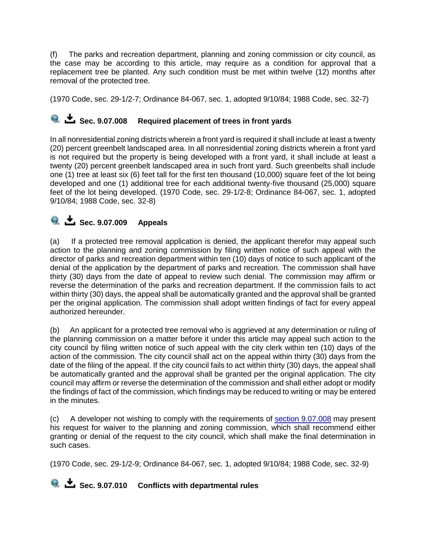(f) The parks and recreation department, planning and zoning commission or city council, as the case may be according to this article, may require as a condition for approval that a replacement tree be planted. Any such condition must be met within twelve (12) months after removal of the protected tree.

(1970 Code, sec. 29-1/2-7; Ordinance 84-067, sec. 1, adopted 9/10/84; 1988 Code, sec. 32-7)

#### **C**  $\stackrel{\bullet}{\bullet}$  **Sec. 9.07.008** Required placement of trees in front yards

In all nonresidential zoning districts wherein a front yard is required it shall include at least a twenty (20) percent greenbelt landscaped area. In all nonresidential zoning districts wherein a front yard is not required but the property is being developed with a front yard, it shall include at least a twenty (20) percent greenbelt landscaped area in such front yard. Such greenbelts shall include one (1) tree at least six (6) feet tall for the first ten thousand (10,000) square feet of the lot being developed and one (1) additional tree for each additional twenty-five thousand (25,000) square feet of the lot being developed. (1970 Code, sec. 29-1/2-8; Ordinance 84-067, sec. 1, adopted 9/10/84; 1988 Code, sec. 32-8)

#### **Q**  $\stackrel{\bullet}{\bullet}$  **Sec. 9.07.009** Appeals

(a) If a protected tree removal application is denied, the applicant therefor may appeal such action to the planning and zoning commission by filing written notice of such appeal with the director of parks and recreation department within ten (10) days of notice to such applicant of the denial of the application by the department of parks and recreation. The commission shall have thirty (30) days from the date of appeal to review such denial. The commission may affirm or reverse the determination of the parks and recreation department. If the commission fails to act within thirty (30) days, the appeal shall be automatically granted and the approval shall be granted per the original application. The commission shall adopt written findings of fact for every appeal authorized hereunder.

(b) An applicant for a protected tree removal who is aggrieved at any determination or ruling of the planning commission on a matter before it under this article may appeal such action to the city council by filing written notice of such appeal with the city clerk within ten (10) days of the action of the commission. The city council shall act on the appeal within thirty (30) days from the date of the filing of the appeal. If the city council fails to act within thirty (30) days, the appeal shall be automatically granted and the approval shall be granted per the original application. The city council may affirm or reverse the determination of the commission and shall either adopt or modify the findings of fact of the commission, which findings may be reduced to writing or may be entered in the minutes.

(c) A developer not wishing to comply with the requirements of [section 9.07.008](https://z2.franklinlegal.net/franklin/DocViewer.jsp?doccode=z20000076&z2collection=paris#JD_9.07.008) may present his request for waiver to the planning and zoning commission, which shall recommend either granting or denial of the request to the city council, which shall make the final determination in such cases.

(1970 Code, sec. 29-1/2-9; Ordinance 84-067, sec. 1, adopted 9/10/84; 1988 Code, sec. 32-9)

**C**  $\stackrel{\bullet}{\bullet}$  Sec. 9.07.010 Conflicts with departmental rules